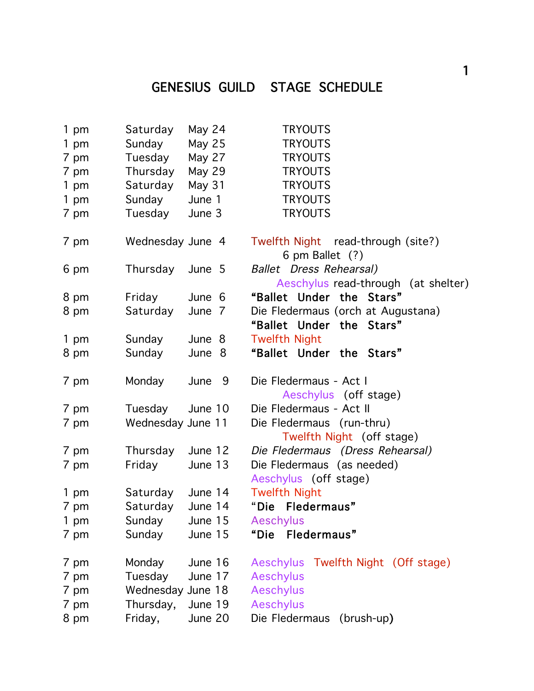## GENESIUS GUILD STAGE SCHEDULE

| 1 pm         | Saturday          | May 24             | <b>TRYOUTS</b>                                                        |
|--------------|-------------------|--------------------|-----------------------------------------------------------------------|
| 1 pm         | Sunday            | <b>May 25</b>      | <b>TRYOUTS</b>                                                        |
| 7 pm         | Tuesday           | May 27             | <b>TRYOUTS</b>                                                        |
| 7 pm         | Thursday          | <b>May 29</b>      | <b>TRYOUTS</b>                                                        |
| 1 pm         | Saturday          | May 31             | <b>TRYOUTS</b>                                                        |
| 1 pm         | Sunday<br>June 1  |                    | <b>TRYOUTS</b>                                                        |
| 7 pm         | Tuesday           | June 3             | <b>TRYOUTS</b>                                                        |
| 7 pm         | Wednesday June 4  |                    | Twelfth Night read-through (site?)<br>6 pm Ballet (?)                 |
| 6 pm         | Thursday June 5   |                    | <b>Ballet</b> Dress Rehearsal)<br>Aeschylus read-through (at shelter) |
| 8 pm         | Friday            | June 6             | "Ballet Under the Stars"                                              |
| 8 pm         | Saturday          | June 7             | Die Fledermaus (orch at Augustana)<br>"Ballet Under the Stars"        |
| 1 pm         | Sunday            | June 8             | <b>Twelfth Night</b>                                                  |
| 8 pm         | Sunday            | June 8             | "Ballet Under the Stars"                                              |
| 7 pm         | Monday            | June 9             | Die Fledermaus - Act I<br>Aeschylus (off stage)                       |
| 7 pm         | Tuesday           | June 10            | Die Fledermaus - Act II                                               |
| 7 pm         | Wednesday June 11 |                    | Die Fledermaus (run-thru)<br>Twelfth Night (off stage)                |
| 7 pm         | Thursday June 12  |                    | Die Fledermaus (Dress Rehearsal)                                      |
| 7 pm         | Friday            | June 13            | Die Fledermaus (as needed)<br>Aeschylus (off stage)                   |
| 1 pm         | Saturday          | June 14            | <b>Twelfth Night</b>                                                  |
| 7 pm         | Saturday          | June 14            | "Die Fledermaus"                                                      |
| 1 pm         | Sunday            | June 15            | Aeschylus                                                             |
| 7 pm         | Sunday            | June 15            | "Die<br>Fledermaus"                                                   |
| 7 pm<br>7 pm | Monday<br>Tuesday | June 16<br>June 17 | Twelfth Night (Off stage)<br><b>Aeschylus</b><br><b>Aeschylus</b>     |
| 7 pm         | Wednesday June 18 |                    | <b>Aeschylus</b>                                                      |
| 7 pm         | Thursday,         | June 19            | <b>Aeschylus</b>                                                      |
| 8 pm         | Friday,           | June 20            | Die Fledermaus<br>(brush-up)                                          |
|              |                   |                    |                                                                       |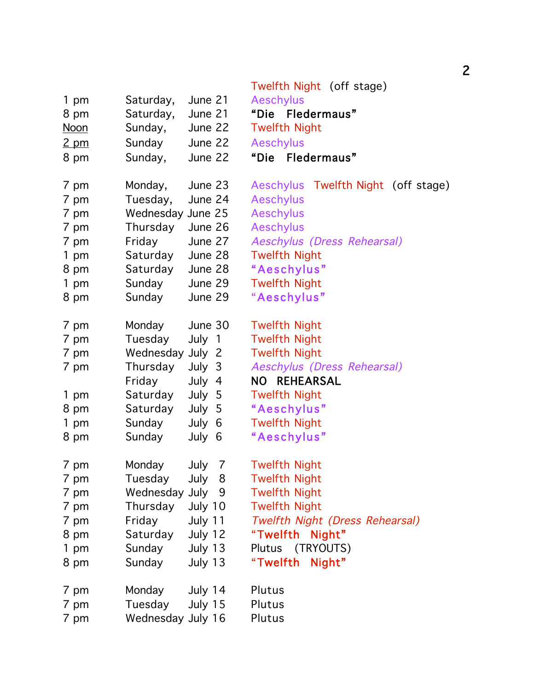|                     | Twelfth Night (off stage)                                                                                                                                                                                                                                                                   |
|---------------------|---------------------------------------------------------------------------------------------------------------------------------------------------------------------------------------------------------------------------------------------------------------------------------------------|
| June 21             | <b>Aeschylus</b>                                                                                                                                                                                                                                                                            |
| June 21             | "Die Fledermaus"                                                                                                                                                                                                                                                                            |
| June 22             | <b>Twelfth Night</b>                                                                                                                                                                                                                                                                        |
|                     | <b>Aeschylus</b>                                                                                                                                                                                                                                                                            |
|                     | "Die Fledermaus"                                                                                                                                                                                                                                                                            |
|                     |                                                                                                                                                                                                                                                                                             |
| Monday,<br>June 23  | Aeschylus Twelfth Night (off stage)                                                                                                                                                                                                                                                         |
| Tuesday,<br>June 24 | <b>Aeschylus</b>                                                                                                                                                                                                                                                                            |
| Wednesday June 25   | <b>Aeschylus</b>                                                                                                                                                                                                                                                                            |
| June 26             | <b>Aeschylus</b>                                                                                                                                                                                                                                                                            |
| Friday<br>June 27   | Aeschylus (Dress Rehearsal)                                                                                                                                                                                                                                                                 |
| Saturday<br>June 28 | <b>Twelfth Night</b>                                                                                                                                                                                                                                                                        |
| Saturday<br>June 28 | "Aeschylus"                                                                                                                                                                                                                                                                                 |
| Sunday<br>June 29   | <b>Twelfth Night</b>                                                                                                                                                                                                                                                                        |
| Sunday<br>June 29   | "Aeschylus"                                                                                                                                                                                                                                                                                 |
|                     |                                                                                                                                                                                                                                                                                             |
| Monday<br>June 30   | <b>Twelfth Night</b>                                                                                                                                                                                                                                                                        |
| Tuesday<br>July 1   | <b>Twelfth Night</b>                                                                                                                                                                                                                                                                        |
| Wednesday July 2    | <b>Twelfth Night</b>                                                                                                                                                                                                                                                                        |
| Thursday<br>July 3  | Aeschylus (Dress Rehearsal)                                                                                                                                                                                                                                                                 |
| Friday<br>July 4    | NO REHEARSAL                                                                                                                                                                                                                                                                                |
| Saturday<br>July 5  | <b>Twelfth Night</b>                                                                                                                                                                                                                                                                        |
| Saturday<br>July 5  | "Aeschylus"                                                                                                                                                                                                                                                                                 |
| Sunday<br>July 6    | <b>Twelfth Night</b>                                                                                                                                                                                                                                                                        |
| Sunday<br>July 6    | "Aeschylus"                                                                                                                                                                                                                                                                                 |
|                     |                                                                                                                                                                                                                                                                                             |
|                     | <b>Twelfth Night</b>                                                                                                                                                                                                                                                                        |
|                     | <b>Twelfth Night</b><br><b>Twelfth Night</b>                                                                                                                                                                                                                                                |
|                     | <b>Twelfth Night</b>                                                                                                                                                                                                                                                                        |
|                     |                                                                                                                                                                                                                                                                                             |
|                     | Twelfth Night (Dress Rehearsal)<br>"Twelfth                                                                                                                                                                                                                                                 |
|                     | Night"<br>Plutus (TRYOUTS)                                                                                                                                                                                                                                                                  |
|                     |                                                                                                                                                                                                                                                                                             |
|                     | "Twelfth<br>Night"                                                                                                                                                                                                                                                                          |
| Monday<br>July 14   | Plutus                                                                                                                                                                                                                                                                                      |
|                     | Plutus                                                                                                                                                                                                                                                                                      |
| Wednesday July 16   | Plutus                                                                                                                                                                                                                                                                                      |
|                     | Saturday,<br>Saturday,<br>Sunday,<br>Sunday<br>June 22<br>Sunday,<br>June 22<br>Thursday<br>Monday<br>July<br>7<br>Tuesday<br>July 8<br>Wednesday July 9<br>Thursday<br>July 10<br>Friday<br>July 11<br>Saturday<br>July 12<br>Sunday<br>July 13<br>Sunday<br>July 13<br>Tuesday<br>July 15 |